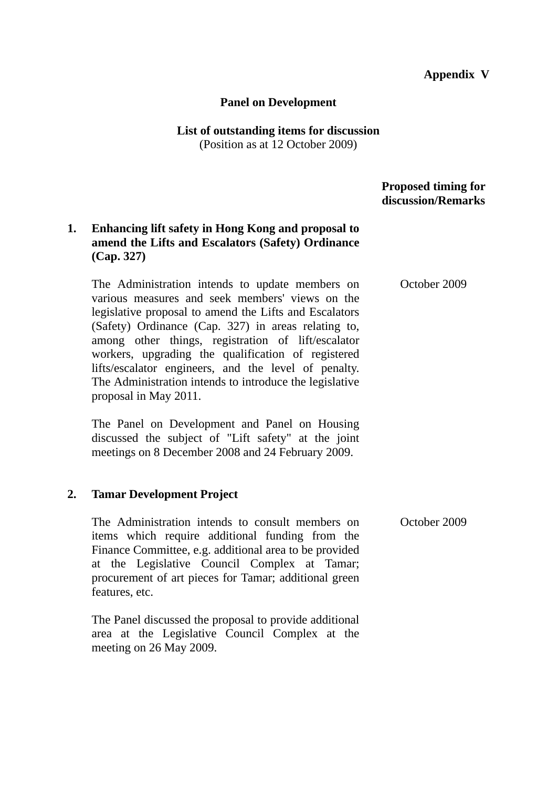## **Appendix V**

#### **Panel on Development**

#### **List of outstanding items for discussion**  (Position as at 12 October 2009)

 **Proposed timing for discussion/Remarks**

## **1. Enhancing lift safety in Hong Kong and proposal to amend the Lifts and Escalators (Safety) Ordinance (Cap. 327)**

The Administration intends to update members on various measures and seek members' views on the legislative proposal to amend the Lifts and Escalators (Safety) Ordinance (Cap. 327) in areas relating to, among other things, registration of lift/escalator workers, upgrading the qualification of registered lifts/escalator engineers, and the level of penalty. The Administration intends to introduce the legislative proposal in May 2011.

The Panel on Development and Panel on Housing discussed the subject of "Lift safety" at the joint meetings on 8 December 2008 and 24 February 2009.

### **2. Tamar Development Project**

The Administration intends to consult members on items which require additional funding from the Finance Committee, e.g. additional area to be provided at the Legislative Council Complex at Tamar; procurement of art pieces for Tamar; additional green features, etc.

The Panel discussed the proposal to provide additional area at the Legislative Council Complex at the meeting on 26 May 2009.

October 2009

October 2009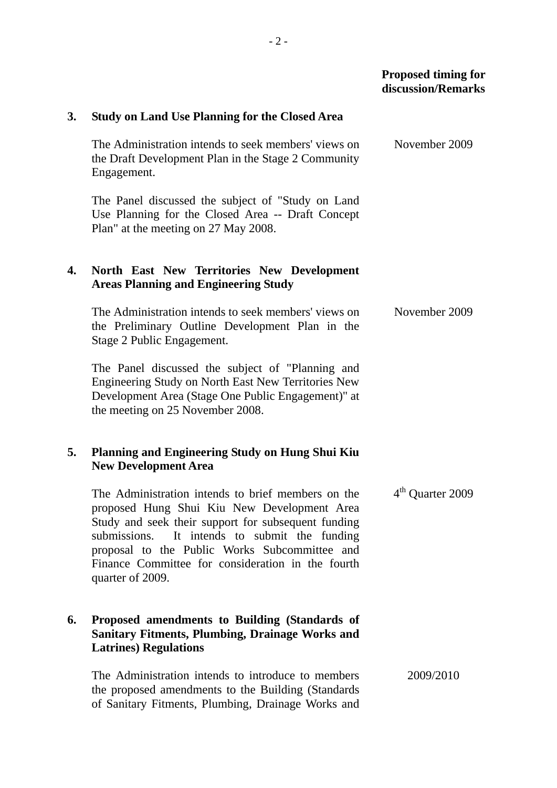|    |                                                                                                                                                                                                                                                                                                                                     | <b>Proposed timing for</b><br>discussion/Remarks |
|----|-------------------------------------------------------------------------------------------------------------------------------------------------------------------------------------------------------------------------------------------------------------------------------------------------------------------------------------|--------------------------------------------------|
| 3. | <b>Study on Land Use Planning for the Closed Area</b>                                                                                                                                                                                                                                                                               |                                                  |
|    | The Administration intends to seek members' views on<br>the Draft Development Plan in the Stage 2 Community<br>Engagement.                                                                                                                                                                                                          | November 2009                                    |
|    | The Panel discussed the subject of "Study on Land"<br>Use Planning for the Closed Area -- Draft Concept<br>Plan" at the meeting on 27 May 2008.                                                                                                                                                                                     |                                                  |
| 4. | North East New Territories New Development<br><b>Areas Planning and Engineering Study</b>                                                                                                                                                                                                                                           |                                                  |
|    | The Administration intends to seek members' views on<br>the Preliminary Outline Development Plan in the<br>Stage 2 Public Engagement.                                                                                                                                                                                               | November 2009                                    |
|    | The Panel discussed the subject of "Planning and<br>Engineering Study on North East New Territories New<br>Development Area (Stage One Public Engagement)" at<br>the meeting on 25 November 2008.                                                                                                                                   |                                                  |
| 5. | <b>Planning and Engineering Study on Hung Shui Kiu</b><br><b>New Development Area</b>                                                                                                                                                                                                                                               |                                                  |
|    | The Administration intends to brief members on the<br>proposed Hung Shui Kiu New Development Area<br>Study and seek their support for subsequent funding<br>submissions. It intends to submit the funding<br>proposal to the Public Works Subcommittee and<br>Finance Committee for consideration in the fourth<br>quarter of 2009. | 4 <sup>th</sup> Quarter 2009                     |
| 6. | Proposed amendments to Building (Standards of<br><b>Sanitary Fitments, Plumbing, Drainage Works and</b><br><b>Latrines</b> ) Regulations                                                                                                                                                                                            |                                                  |
|    | The Administration intends to introduce to members<br>the proposed amendments to the Building (Standards<br>of Sanitary Fitments, Plumbing, Drainage Works and                                                                                                                                                                      | 2009/2010                                        |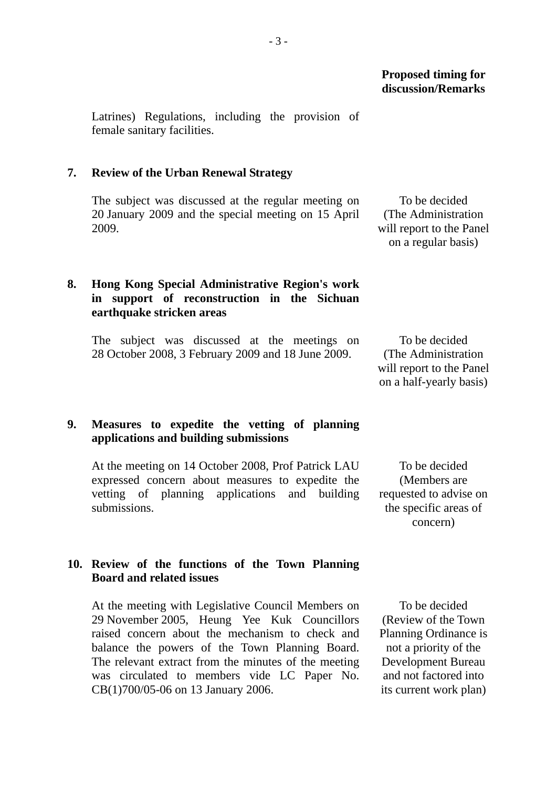Latrines) Regulations, including the provision of female sanitary facilities.

### **7. Review of the Urban Renewal Strategy**

The subject was discussed at the regular meeting on 20 January 2009 and the special meeting on 15 April 2009.

# **8. Hong Kong Special Administrative Region's work in support of reconstruction in the Sichuan earthquake stricken areas**

The subject was discussed at the meetings on 28 October 2008, 3 February 2009 and 18 June 2009.

**9. Measures to expedite the vetting of planning applications and building submissions** 

At the meeting on 14 October 2008, Prof Patrick LAU expressed concern about measures to expedite the vetting of planning applications and building submissions.

To be decided (The Administration will report to the Panel on a regular basis)

To be decided (The Administration will report to the Panel on a half-yearly basis)

To be decided (Members are requested to advise on the specific areas of concern)

## **10. Review of the functions of the Town Planning Board and related issues**

At the meeting with Legislative Council Members on 29 November 2005, Heung Yee Kuk Councillors raised concern about the mechanism to check and balance the powers of the Town Planning Board. The relevant extract from the minutes of the meeting was circulated to members vide LC Paper No. CB(1)700/05-06 on 13 January 2006.

To be decided (Review of the Town Planning Ordinance is not a priority of the Development Bureau and not factored into its current work plan)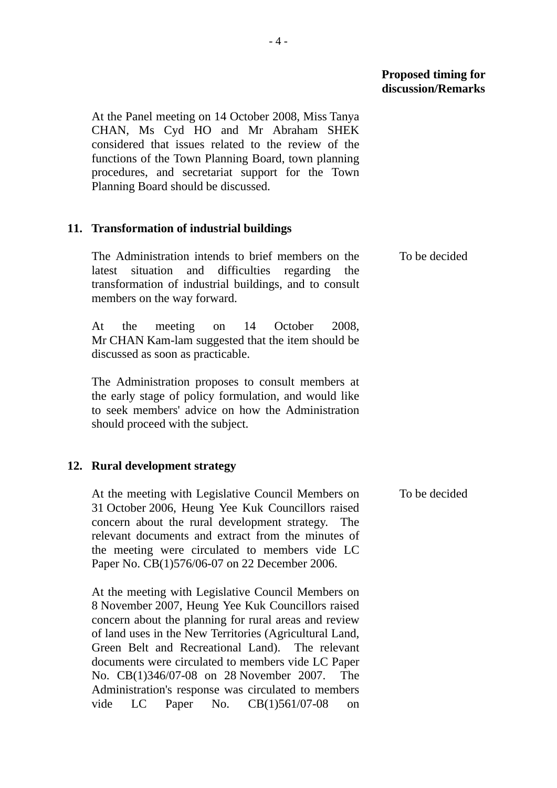### **Proposed timing for discussion/Remarks**

At the Panel meeting on 14 October 2008, Miss Tanya CHAN, Ms Cyd HO and Mr Abraham SHEK considered that issues related to the review of the functions of the Town Planning Board, town planning procedures, and secretariat support for the Town Planning Board should be discussed.

### **11. Transformation of industrial buildings**

| The Administration intends to brief members on the     | To be decided |  |  |
|--------------------------------------------------------|---------------|--|--|
| latest situation and difficulties regarding the        |               |  |  |
| transformation of industrial buildings, and to consult |               |  |  |
| members on the way forward.                            |               |  |  |

At the meeting on 14 October 2008, Mr CHAN Kam-lam suggested that the item should be discussed as soon as practicable.

The Administration proposes to consult members at the early stage of policy formulation, and would like to seek members' advice on how the Administration should proceed with the subject.

# **12. Rural development strategy**

At the meeting with Legislative Council Members on 31 October 2006, Heung Yee Kuk Councillors raised concern about the rural development strategy. The relevant documents and extract from the minutes of the meeting were circulated to members vide LC Paper No. CB(1)576/06-07 on 22 December 2006.

At the meeting with Legislative Council Members on 8 November 2007, Heung Yee Kuk Councillors raised concern about the planning for rural areas and review of land uses in the New Territories (Agricultural Land, Green Belt and Recreational Land). The relevant documents were circulated to members vide LC Paper No. CB(1)346/07-08 on 28 November 2007. The Administration's response was circulated to members vide LC Paper No. CB(1)561/07-08 on

To be decided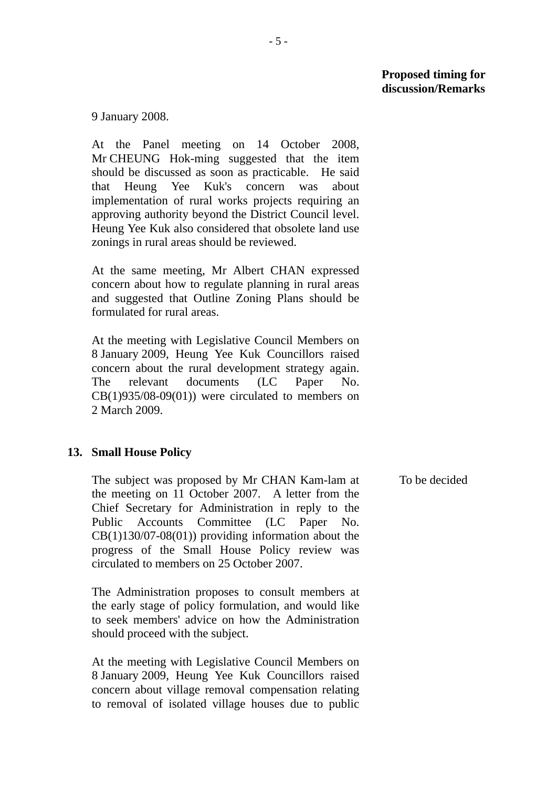### **Proposed timing for discussion/Remarks**

9 January 2008.

At the Panel meeting on 14 October 2008, Mr CHEUNG Hok-ming suggested that the item should be discussed as soon as practicable. He said that Heung Yee Kuk's concern was about implementation of rural works projects requiring an approving authority beyond the District Council level. Heung Yee Kuk also considered that obsolete land use zonings in rural areas should be reviewed.

At the same meeting, Mr Albert CHAN expressed concern about how to regulate planning in rural areas and suggested that Outline Zoning Plans should be formulated for rural areas.

At the meeting with Legislative Council Members on 8 January 2009, Heung Yee Kuk Councillors raised concern about the rural development strategy again. The relevant documents (LC Paper No. CB(1)935/08-09(01)) were circulated to members on 2 March 2009.

### **13. Small House Policy**

The subject was proposed by Mr CHAN Kam-lam at the meeting on 11 October 2007. A letter from the Chief Secretary for Administration in reply to the Public Accounts Committee (LC Paper No.  $CB(1)130/07-08(01)$  providing information about the progress of the Small House Policy review was circulated to members on 25 October 2007.

The Administration proposes to consult members at the early stage of policy formulation, and would like to seek members' advice on how the Administration should proceed with the subject.

At the meeting with Legislative Council Members on 8 January 2009, Heung Yee Kuk Councillors raised concern about village removal compensation relating to removal of isolated village houses due to public To be decided